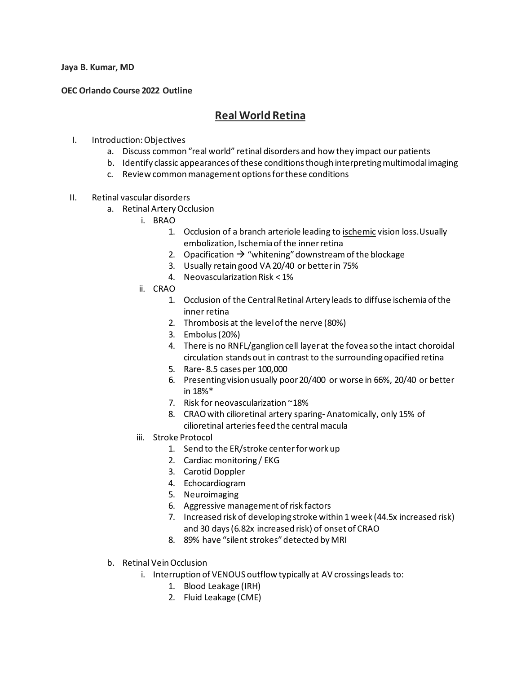**Jaya B. Kumar, MD**

## **OEC Orlando Course 2022 Outline**

## **Real World Retina**

- I. Introduction: Objectives
	- a. Discuss common "real world" retinal disorders and how they impact our patients
	- b. Identify classic appearances of these conditions though interpreting multimodal imaging
	- c. Review common management options for these conditions
- II. Retinal vascular disorders
	- a. Retinal Artery Occlusion
		- i. BRAO
			- 1. Occlusion of a branch arteriole leading to ischemic vision loss. Usually embolization, Ischemia of the inner retina
			- 2. Opacification  $\rightarrow$  "whitening" downstream of the blockage
			- 3. Usually retain good VA 20/40 or better in 75%
			- 4. Neovascularization Risk < 1%
		- ii. CRAO
			- 1. Occlusion of the Central Retinal Artery leads to diffuse ischemia of the inner retina
			- 2. Thrombosis at the level of the nerve (80%)
			- 3. Embolus (20%)
			- 4. There is no RNFL/ganglion cell layer at the fovea so the intact choroidal circulation stands out in contrast to the surrounding opacified retina
			- 5. Rare- 8.5 cases per 100,000
			- 6. Presenting vision usually poor20/400 or worse in 66%, 20/40 or better in 18%\*
			- 7. Risk for neovascularization ~18%
			- 8. CRAO with cilioretinal artery sparing- Anatomically, only 15% of cilioretinal arteries feed the central macula
		- iii. Stroke Protocol
			- 1. Send to the ER/stroke center for work up
			- 2. Cardiac monitoring / EKG
			- 3. Carotid Doppler
			- 4. Echocardiogram
			- 5. Neuroimaging
			- 6. Aggressive management of risk factors
			- 7. Increased risk of developing stroke within 1 week (44.5x increased risk) and 30 days (6.82x increased risk) of onset of CRAO
			- 8. 89% have "silent strokes" detected by MRI
	- b. Retinal Vein Occlusion
		- i. Interruption of VENOUS outflow typically at AV crossings leads to:
			- 1. Blood Leakage (IRH)
			- 2. Fluid Leakage (CME)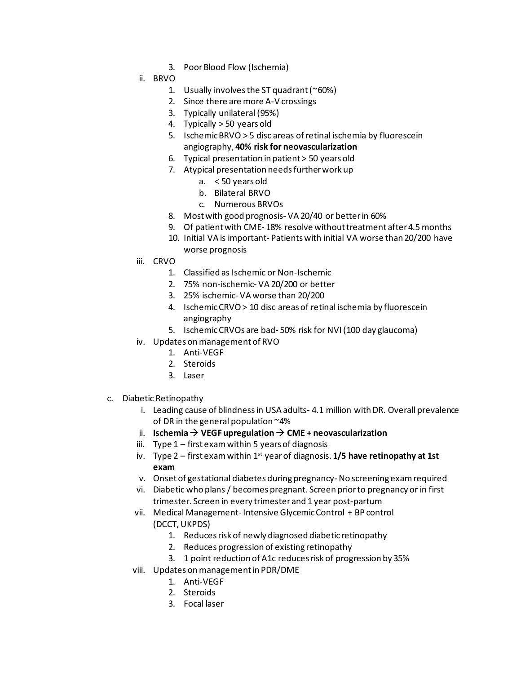- 3. Poor Blood Flow (Ischemia)
- ii. BRVO
	- 1. Usually involves the ST quadrant ( $^{\sim}60\%$ )
	- 2. Since there are more A-V crossings
	- 3. Typically unilateral (95%)
	- 4. Typically > 50 years old
	- 5. Ischemic BRVO > 5 disc areas of retinal ischemia by fluorescein angiography, **40% risk for neovascularization**
	- 6. Typical presentation in patient > 50 years old
	- 7. Atypical presentation needs further work up
		- a. < 50 years old
		- b. Bilateral BRVO
		- c. Numerous BRVOs
	- 8. Most with good prognosis- VA 20/40 or better in 60%
	- 9. Of patient with CME- 18% resolve without treatment after 4.5 months
	- 10. Initial VA is important- Patients with initial VA worse than 20/200 have worse prognosis
- iii. CRVO
	- 1. Classified as Ischemic or Non-Ischemic
	- 2. 75% non-ischemic- VA 20/200 or better
	- 3. 25% ischemic- VA worse than 20/200
	- 4. Ischemic CRVO> 10 disc areas of retinal ischemia by fluorescein angiography
	- 5. Ischemic CRVOs are bad- 50% risk for NVI(100 day glaucoma)
- iv. Updates on management of RVO
	- 1. Anti-VEGF
	- 2. Steroids
	- 3. Laser
- c. Diabetic Retinopathy
	- i. Leading cause of blindness in USA adults- 4.1 million with DR. Overall prevalence of DR in the general population ~4%
	- ii. **Ischemia**  $\rightarrow$  **VEGF upregulation**  $\rightarrow$  **CME + neovascularization**
	- iii. Type  $1$  first exam within 5 years of diagnosis
	- iv. Type  $2$  first exam within  $1^{st}$  year of diagnosis.  $1/5$  have retinopathy at 1st **exam**
	- v. Onset of gestational diabetes during pregnancy-No screening exam required
	- vi. Diabetic who plans / becomes pregnant. Screen prior to pregnancy or in first trimester. Screen in every trimester and 1 year post-partum
	- vii. Medical Management- Intensive Glycemic Control + BP control (DCCT, UKPDS)
		- 1. Reduces risk of newly diagnosed diabetic retinopathy
		- 2. Reduces progression of existing retinopathy
		- 3. 1 point reduction of A1c reduces risk of progression by 35%
	- viii. Updates on management in PDR/DME
		- 1. Anti-VEGF
		- 2. Steroids
		- 3. Focal laser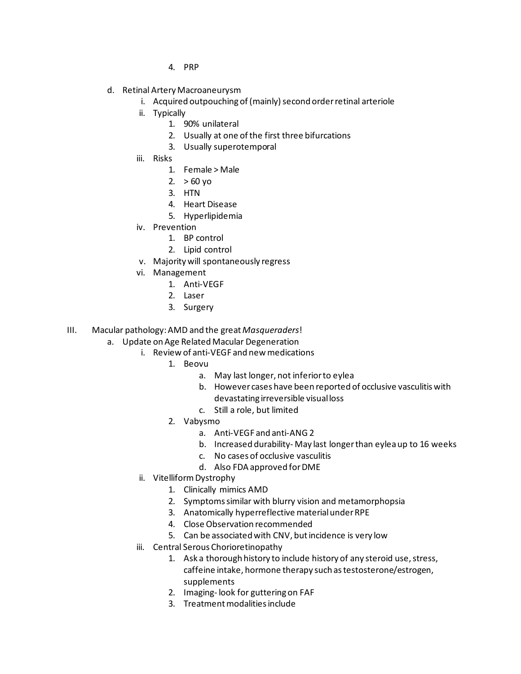- 4. PRP
- d. Retinal Artery Macroaneurysm
	- i. Acquired outpouching of (mainly) second order retinal arteriole
	- ii. Typically
		- 1. 90% unilateral
		- 2. Usually at one of the first three bifurcations
		- 3. Usually superotemporal
	- iii. Risks
		- 1. Female > Male
		- 2.  $> 60$  yo
		- 3. HTN
		- 4. Heart Disease
		- 5. Hyperlipidemia
	- iv. Prevention
		- 1. BP control
		- 2. Lipid control
	- v. Majority will spontaneously regress
	- vi. Management
		- 1. Anti-VEGF
		- 2. Laser
		- 3. Surgery
- III. Macular pathology: AMD and the great *Masqueraders*!
	- a. Update on Age Related Macular Degeneration
		- i. Review of anti-VEGF and new medications
			- 1. Beovu
				- a. May last longer, not inferior to eylea
				- b. However cases have been reported of occlusive vasculitis with devastating irreversible visual loss
				- c. Still a role, but limited
			- 2. Vabysmo
				- a. Anti-VEGF and anti-ANG 2
				- b. Increased durability- May last longer than eylea up to 16 weeks
				- c. No cases of occlusive vasculitis
				- d. Also FDA approved for DME
		- ii. Vitelliform Dystrophy
			- 1. Clinically mimics AMD
			- 2. Symptoms similar with blurry vision and metamorphopsia
			- 3. Anatomically hyperreflective material under RPE
			- 4. Close Observation recommended
			- 5. Can be associated with CNV, but incidence is very low
		- iii. Central Serous Chorioretinopathy
			- 1. Ask a thorough history to include history of any steroid use, stress, caffeine intake, hormone therapy such as testosterone/estrogen, supplements
			- 2. Imaging- look for guttering on FAF
			- 3. Treatment modalities include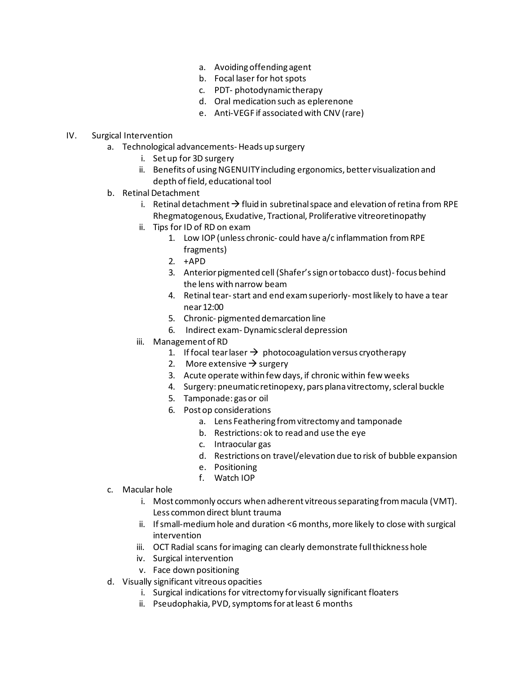- a. Avoiding offending agent
- b. Focal laser for hot spots
- c. PDT- photodynamic therapy
- d. Oral medication such as eplerenone
- e. Anti-VEGF if associated with CNV (rare)

## IV. Surgical Intervention

- a. Technological advancements- Heads up surgery
	- i. Set up for 3D surgery
	- ii. Benefits of using NGENUITY including ergonomics, better visualization and depth of field, educational tool
- b. Retinal Detachment
	- i. Retinal detachment  $\rightarrow$  fluid in subretinal space and elevation of retina from RPE Rhegmatogenous, Exudative, Tractional, Proliferative vitreoretinopathy
	- ii. Tips for ID of RD on exam
		- 1. Low IOP (unless chronic- could have a/c inflammation from RPE fragments)
		- 2. +APD
		- 3. Anterior pigmented cell (Shafer's sign or tobacco dust)- focus behind the lens with narrow beam
		- 4. Retinal tear-start and end exam superiorly- most likely to have a tear near 12:00
		- 5. Chronic- pigmented demarcation line
		- 6. Indirect exam- Dynamic scleral depression
	- iii. Management of RD
		- 1. If focal tear laser  $\rightarrow$  photocoagulation versus cryotherapy
		- 2. More extensive  $\rightarrow$  surgery
		- 3. Acute operate within few days, if chronic within few weeks
		- 4. Surgery: pneumatic retinopexy, pars plana vitrectomy, scleral buckle
		- 5. Tamponade: gas or oil
		- 6. Post op considerations
			- a. Lens Feathering from vitrectomy and tamponade
			- b. Restrictions: ok to read and use the eye
			- c. Intraocular gas
			- d. Restrictions on travel/elevation due to risk of bubble expansion
			- e. Positioning
			- f. Watch IOP
- c. Macular hole
	- i. Most commonly occurs when adherent vitreous separating from macula (VMT). Less common direct blunt trauma
	- ii. If small-medium hole and duration <6 months, more likely to close with surgical intervention
	- iii. OCT Radial scans for imaging can clearly demonstrate full thickness hole
	- iv. Surgical intervention
	- v. Face down positioning
- d. Visually significant vitreous opacities
	- i. Surgical indications for vitrectomy for visually significant floaters
	- ii. Pseudophakia, PVD, symptoms for at least 6 months